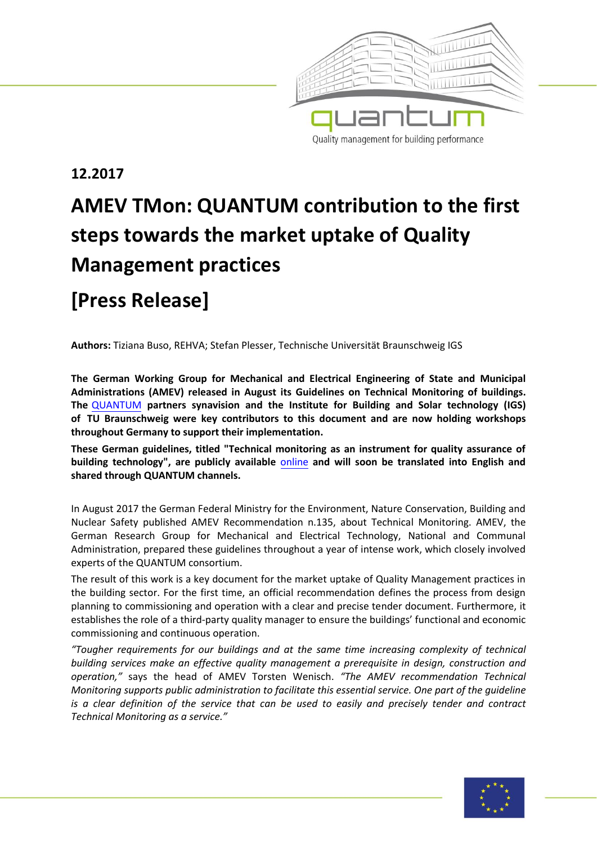

### **12.2017**

# **AMEV TMon: QUANTUM contribution to the first steps towards the market uptake of Quality Management practices**

## **[Press Release]**

**Authors:** Tiziana Buso, REHVA; Stefan Plesser, Technische Universität Braunschweig IGS

**The German Working Group for Mechanical and Electrical Engineering of State and Municipal Administrations (AMEV) released in August its Guidelines on Technical Monitoring of buildings. The** [QUANT](http://www.quantum-project.eu/)UM **partners synavision and the Institute for Building and Solar technology (IGS) of TU Braunschweig were key contributors to this document and are now holding workshops throughout Germany to support their implementation.** 

**These German guidelines, titled "Technical monitoring as an instrument for quality assurance of building technology", are publicly available** [online](https://amev-online.de/AMEVInhalt/Planen/Monitoring/TechnischesM/2017-07-28_Technisches_Monitoring.pdf) **and will soon be translated into English and shared through QUANTUM channels.** 

In August 2017 the German Federal Ministry for the Environment, Nature Conservation, Building and Nuclear Safety published AMEV Recommendation n.135, about Technical Monitoring. AMEV, the German Research Group for Mechanical and Electrical Technology, National and Communal Administration, prepared these guidelines throughout a year of intense work, which closely involved experts of the QUANTUM consortium.

The result of this work is a key document for the market uptake of Quality Management practices in the building sector. For the first time, an official recommendation defines the process from design planning to commissioning and operation with a clear and precise tender document. Furthermore, it establishes the role of a third-party quality manager to ensure the buildings' functional and economic commissioning and continuous operation.

*"Tougher requirements for our buildings and at the same time increasing complexity of technical building services make an effective quality management a prerequisite in design, construction and operation,"* says the head of AMEV Torsten Wenisch. *"The AMEV recommendation Technical Monitoring supports public administration to facilitate this essential service. One part of the guideline is a clear definition of the service that can be used to easily and precisely tender and contract Technical Monitoring as a service."* 

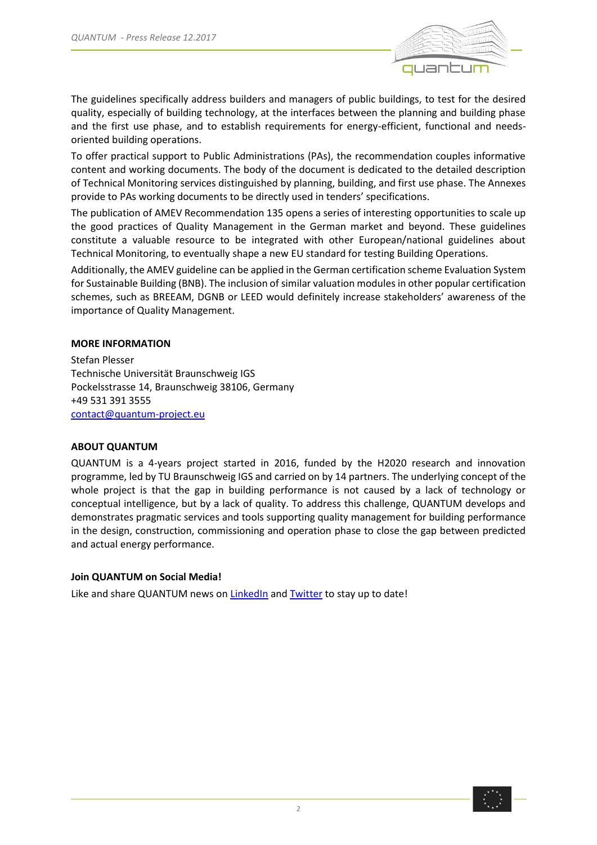

The guidelines specifically address builders and managers of public buildings, to test for the desired quality, especially of building technology, at the interfaces between the planning and building phase and the first use phase, and to establish requirements for energy-efficient, functional and needsoriented building operations.

To offer practical support to Public Administrations (PAs), the recommendation couples informative content and working documents. The body of the document is dedicated to the detailed description of Technical Monitoring services distinguished by planning, building, and first use phase. The Annexes provide to PAs working documents to be directly used in tenders' specifications.

The publication of AMEV Recommendation 135 opens a series of interesting opportunities to scale up the good practices of Quality Management in the German market and beyond. These guidelines constitute a valuable resource to be integrated with other European/national guidelines about Technical Monitoring, to eventually shape a new EU standard for testing Building Operations.

Additionally, the AMEV guideline can be applied in the German certification scheme Evaluation System for Sustainable Building (BNB). The inclusion of similar valuation modules in other popular certification schemes, such as BREEAM, DGNB or LEED would definitely increase stakeholders' awareness of the importance of Quality Management.

### **MORE INFORMATION**

Stefan Plesser Technische Universität Braunschweig IGS Pockelsstrasse 14, Braunschweig 38106, Germany +49 531 391 3555 [contact@quantum-project.eu](mailto:contact@quantum-project.eu)

### **ABOUT QUANTUM**

QUANTUM is a 4-years project started in 2016, funded by the H2020 research and innovation programme, led by TU Braunschweig IGS and carried on by 14 partners. The underlying concept of the whole project is that the gap in building performance is not caused by a lack of technology or conceptual intelligence, but by a lack of quality. To address this challenge, QUANTUM develops and demonstrates pragmatic services and tools supporting quality management for building performance in the design, construction, commissioning and operation phase to close the gap between predicted and actual energy performance.

### **Join QUANTUM on Social Media!**

Like and share QUANTUM news o[n LinkedIn](https://www.linkedin.com/groups/8540596/profile) and [Twitter](https://twitter.com/QUANTUM_H2020?lang=en) to stay up to date!